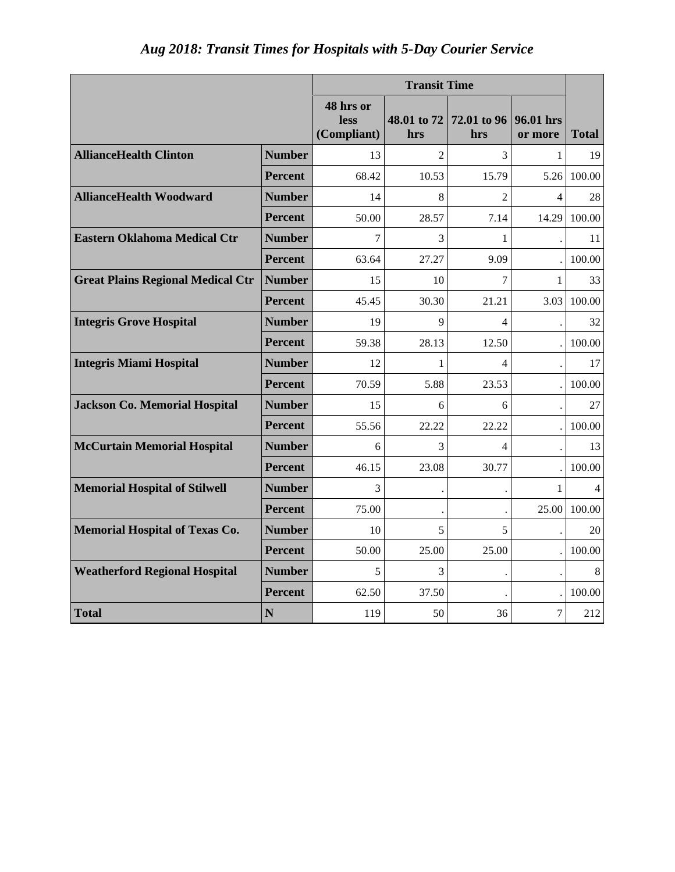| Aug 2018: Transit Times for Hospitals with 5-Day Courier Service |  |  |  |  |
|------------------------------------------------------------------|--|--|--|--|
|                                                                  |  |  |  |  |

|                                          |                | <b>Transit Time</b>              |                    |                          |                          |              |
|------------------------------------------|----------------|----------------------------------|--------------------|--------------------------|--------------------------|--------------|
|                                          |                | 48 hrs or<br>less<br>(Compliant) | 48.01 to 72<br>hrs | 72.01 to 96<br>hrs       | 96.01 hrs<br>or more     | <b>Total</b> |
| <b>AllianceHealth Clinton</b>            | <b>Number</b>  | 13                               | $\mathfrak{D}$     | 3                        | 1                        | 19           |
|                                          | <b>Percent</b> | 68.42                            | 10.53              | 15.79                    | 5.26                     | 100.00       |
| <b>AllianceHealth Woodward</b>           | <b>Number</b>  | 14                               | 8                  | $\overline{2}$           | $\overline{\mathcal{L}}$ | 28           |
|                                          | <b>Percent</b> | 50.00                            | 28.57              | 7.14                     | 14.29                    | 100.00       |
| <b>Eastern Oklahoma Medical Ctr</b>      | <b>Number</b>  | $\overline{7}$                   | 3                  | 1                        |                          | 11           |
|                                          | <b>Percent</b> | 63.64                            | 27.27              | 9.09                     |                          | 100.00       |
| <b>Great Plains Regional Medical Ctr</b> | <b>Number</b>  | 15                               | 10                 | 7                        | $\mathbf{1}$             | 33           |
|                                          | <b>Percent</b> | 45.45                            | 30.30              | 21.21                    | 3.03                     | 100.00       |
| <b>Integris Grove Hospital</b>           | <b>Number</b>  | 19                               | $\mathbf Q$        | $\overline{\mathcal{A}}$ |                          | 32           |
|                                          | <b>Percent</b> | 59.38                            | 28.13              | 12.50                    |                          | 100.00       |
| <b>Integris Miami Hospital</b>           | <b>Number</b>  | 12                               | 1                  | $\overline{4}$           |                          | 17           |
|                                          | <b>Percent</b> | 70.59                            | 5.88               | 23.53                    |                          | 100.00       |
| <b>Jackson Co. Memorial Hospital</b>     | <b>Number</b>  | 15                               | 6                  | 6                        |                          | 27           |
|                                          | <b>Percent</b> | 55.56                            | 22.22              | 22.22                    |                          | 100.00       |
| <b>McCurtain Memorial Hospital</b>       | <b>Number</b>  | 6                                | 3                  | $\overline{\mathcal{A}}$ |                          | 13           |
|                                          | <b>Percent</b> | 46.15                            | 23.08              | 30.77                    |                          | 100.00       |
| <b>Memorial Hospital of Stilwell</b>     | <b>Number</b>  | 3                                |                    |                          | 1                        | 4            |
|                                          | <b>Percent</b> | 75.00                            |                    |                          | 25.00                    | 100.00       |
| <b>Memorial Hospital of Texas Co.</b>    | <b>Number</b>  | 10                               | 5                  | 5                        |                          | 20           |
|                                          | <b>Percent</b> | 50.00                            | 25.00              | 25.00                    |                          | 100.00       |
| <b>Weatherford Regional Hospital</b>     | <b>Number</b>  | 5                                | 3                  |                          |                          | 8            |
|                                          | <b>Percent</b> | 62.50                            | 37.50              |                          |                          | 100.00       |
| <b>Total</b>                             | N              | 119                              | 50                 | 36                       | $\overline{7}$           | 212          |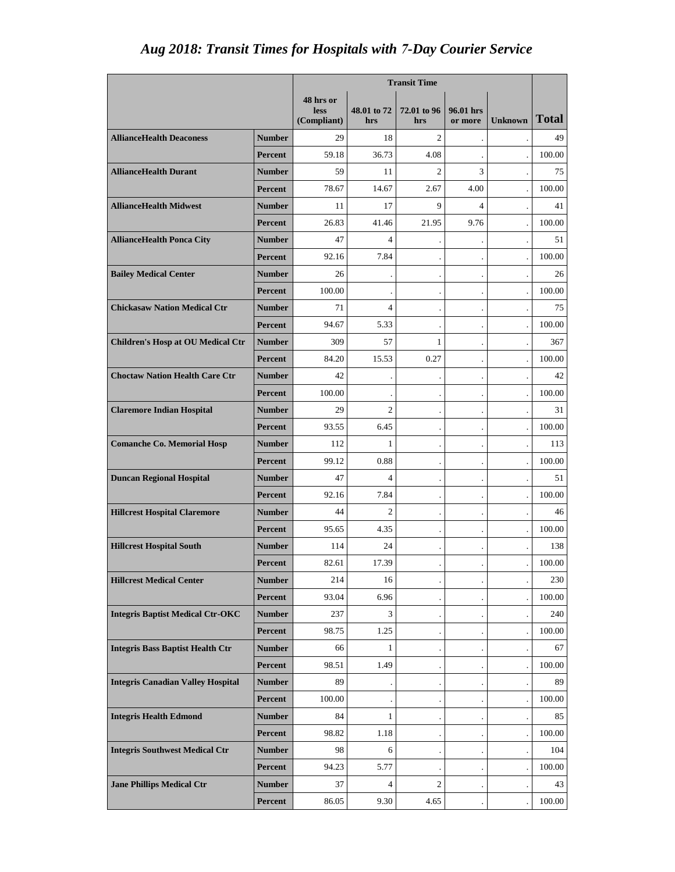## *Aug 2018: Transit Times for Hospitals with 7-Day Courier Service*

|                                          |                | <b>Transit Time</b> |                    |                    |                      |                |              |
|------------------------------------------|----------------|---------------------|--------------------|--------------------|----------------------|----------------|--------------|
|                                          |                | 48 hrs or           |                    |                    |                      |                |              |
|                                          |                | less<br>(Compliant) | 48.01 to 72<br>hrs | 72.01 to 96<br>hrs | 96.01 hrs<br>or more | <b>Unknown</b> | <b>Total</b> |
| <b>AllianceHealth Deaconess</b>          | <b>Number</b>  | 29                  | 18                 | $\overline{c}$     |                      |                | 49           |
|                                          | Percent        | 59.18               | 36.73              | 4.08               |                      |                | 100.00       |
| <b>AllianceHealth Durant</b>             | <b>Number</b>  | 59                  | 11                 | $\overline{2}$     | 3                    |                | 75           |
|                                          | <b>Percent</b> | 78.67               | 14.67              | 2.67               | 4.00                 |                | 100.00       |
| <b>AllianceHealth Midwest</b>            | <b>Number</b>  | 11                  | 17                 | 9                  | 4                    |                | 41           |
|                                          | <b>Percent</b> | 26.83               | 41.46              | 21.95              | 9.76                 |                | 100.00       |
| <b>AllianceHealth Ponca City</b>         | <b>Number</b>  | 47                  | $\Delta$           |                    |                      |                | 51           |
|                                          | Percent        | 92.16               | 7.84               |                    |                      |                | 100.00       |
| <b>Bailey Medical Center</b>             | Number         | 26                  |                    |                    |                      |                | 26           |
|                                          | Percent        | 100.00              |                    |                    |                      |                | 100.00       |
| <b>Chickasaw Nation Medical Ctr</b>      | <b>Number</b>  | 71                  | $\overline{4}$     |                    |                      |                | 75           |
|                                          | Percent        | 94.67               | 5.33               |                    |                      |                | 100.00       |
| <b>Children's Hosp at OU Medical Ctr</b> | <b>Number</b>  | 309                 | 57                 | 1                  |                      |                | 367          |
|                                          | Percent        | 84.20               | 15.53              | 0.27               |                      |                | 100.00       |
| <b>Choctaw Nation Health Care Ctr</b>    | <b>Number</b>  | 42                  |                    |                    |                      |                | 42           |
|                                          | Percent        | 100.00              |                    |                    |                      |                | 100.00       |
| <b>Claremore Indian Hospital</b>         | <b>Number</b>  | 29                  | $\overline{2}$     |                    |                      |                | 31           |
|                                          | <b>Percent</b> | 93.55               | 6.45               |                    |                      |                | 100.00       |
| <b>Comanche Co. Memorial Hosp</b>        | Number         | 112                 | 1                  |                    |                      |                | 113          |
|                                          | Percent        | 99.12               | 0.88               |                    |                      |                | 100.00       |
| <b>Duncan Regional Hospital</b>          | Number         | 47                  | $\overline{4}$     |                    |                      |                | 51           |
|                                          | Percent        | 92.16               | 7.84               |                    |                      |                | 100.00       |
| <b>Hillcrest Hospital Claremore</b>      | <b>Number</b>  | 44                  | $\overline{2}$     |                    |                      |                | 46           |
|                                          | Percent        | 95.65               | 4.35               |                    |                      |                | 100.00       |
| <b>Hillcrest Hospital South</b>          | Number         | 114                 | 24                 |                    |                      |                | 138          |
|                                          | Percent        | 82.61               | 17.39              |                    |                      |                | 100.00       |
| <b>Hillcrest Medical Center</b>          | <b>Number</b>  | 214                 | 16                 |                    |                      |                | 230          |
|                                          | Percent        | 93.04               | 6.96               |                    |                      |                | 100.00       |
| <b>Integris Baptist Medical Ctr-OKC</b>  | <b>Number</b>  | 237                 | 3                  |                    |                      |                | 240          |
|                                          | Percent        | 98.75               | 1.25               |                    |                      |                | 100.00       |
| <b>Integris Bass Baptist Health Ctr</b>  | <b>Number</b>  | 66                  | 1                  |                    |                      |                | 67           |
|                                          | Percent        | 98.51               | 1.49               |                    |                      |                | 100.00       |
| <b>Integris Canadian Valley Hospital</b> | <b>Number</b>  | 89                  |                    |                    |                      |                | 89           |
|                                          | Percent        | 100.00              |                    |                    |                      |                | 100.00       |
| <b>Integris Health Edmond</b>            | <b>Number</b>  | 84                  | 1                  |                    |                      |                | 85           |
|                                          | Percent        | 98.82               | 1.18               |                    |                      |                | 100.00       |
| <b>Integris Southwest Medical Ctr</b>    | <b>Number</b>  | 98                  | 6                  |                    |                      |                | 104          |
|                                          | Percent        | 94.23               | 5.77               |                    |                      |                | 100.00       |
| <b>Jane Phillips Medical Ctr</b>         | <b>Number</b>  | 37                  | $\overline{4}$     | $\overline{c}$     |                      |                | 43           |
|                                          | Percent        | 86.05               | 9.30               | 4.65               |                      |                | 100.00       |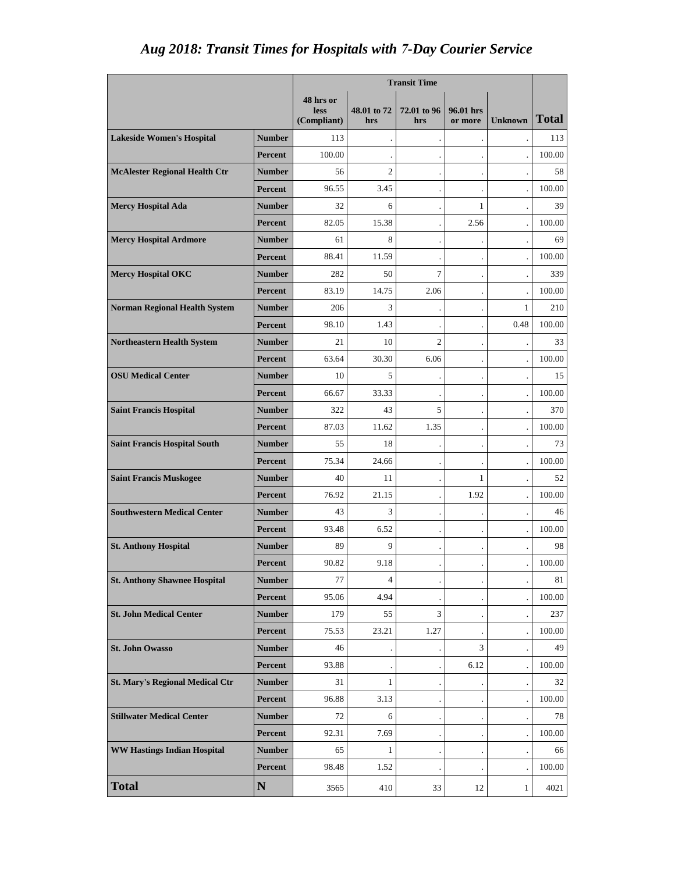## *Aug 2018: Transit Times for Hospitals with 7-Day Courier Service*

|                                        |                | <b>Transit Time</b>                     |                    |                    |                      |                |              |
|----------------------------------------|----------------|-----------------------------------------|--------------------|--------------------|----------------------|----------------|--------------|
|                                        |                | 48 hrs or<br><b>less</b><br>(Compliant) | 48,01 to 72<br>hrs | 72.01 to 96<br>hrs | 96.01 hrs<br>or more | <b>Unknown</b> | <b>Total</b> |
| <b>Lakeside Women's Hospital</b>       | <b>Number</b>  | 113                                     |                    |                    |                      |                | 113          |
|                                        | <b>Percent</b> | 100.00                                  |                    |                    |                      |                | 100.00       |
| <b>McAlester Regional Health Ctr</b>   | <b>Number</b>  | 56                                      | $\overline{c}$     |                    |                      |                | 58           |
|                                        | <b>Percent</b> | 96.55                                   | 3.45               |                    |                      |                | 100.00       |
| <b>Mercy Hospital Ada</b>              | <b>Number</b>  | 32                                      | 6                  |                    | $\mathbf{1}$         |                | 39           |
|                                        | <b>Percent</b> | 82.05                                   | 15.38              |                    | 2.56                 |                | 100.00       |
| <b>Mercy Hospital Ardmore</b>          | <b>Number</b>  | 61                                      | 8                  |                    |                      |                | 69           |
|                                        | Percent        | 88.41                                   | 11.59              |                    |                      |                | 100.00       |
| <b>Mercy Hospital OKC</b>              | <b>Number</b>  | 282                                     | 50                 | $\tau$             |                      |                | 339          |
|                                        | <b>Percent</b> | 83.19                                   | 14.75              | 2.06               |                      |                | 100.00       |
| <b>Norman Regional Health System</b>   | <b>Number</b>  | 206                                     | 3                  |                    |                      | $\mathbf{1}$   | 210          |
|                                        | <b>Percent</b> | 98.10                                   | 1.43               |                    |                      | 0.48           | 100.00       |
| <b>Northeastern Health System</b>      | <b>Number</b>  | 21                                      | 10                 | $\overline{2}$     |                      |                | 33           |
|                                        | Percent        | 63.64                                   | 30.30              | 6.06               |                      |                | 100.00       |
| <b>OSU Medical Center</b>              | <b>Number</b>  | 10                                      | 5                  |                    |                      |                | 15           |
|                                        | <b>Percent</b> | 66.67                                   | 33.33              |                    |                      |                | 100.00       |
| <b>Saint Francis Hospital</b>          | <b>Number</b>  | 322                                     | 43                 | 5                  |                      |                | 370          |
|                                        | <b>Percent</b> | 87.03                                   | 11.62              | 1.35               |                      |                | 100.00       |
| <b>Saint Francis Hospital South</b>    | <b>Number</b>  | 55                                      | 18                 |                    |                      |                | 73           |
|                                        | <b>Percent</b> | 75.34                                   | 24.66              |                    |                      |                | 100.00       |
| <b>Saint Francis Muskogee</b>          | <b>Number</b>  | 40                                      | 11                 |                    | 1                    |                | 52           |
|                                        | <b>Percent</b> | 76.92                                   | 21.15              |                    | 1.92                 |                | 100.00       |
| <b>Southwestern Medical Center</b>     | <b>Number</b>  | 43                                      | 3                  |                    |                      |                | 46           |
|                                        | Percent        | 93.48                                   | 6.52               |                    |                      |                | 100.00       |
| <b>St. Anthony Hospital</b>            | <b>Number</b>  | 89                                      | 9                  |                    |                      |                | 98           |
|                                        | Percent        | 90.82                                   | 9.18               |                    |                      |                | 100.00       |
| <b>St. Anthony Shawnee Hospital</b>    | <b>Number</b>  | 77                                      | 4                  |                    |                      |                | 81           |
|                                        | Percent        | 95.06                                   | 4.94               |                    |                      |                | 100.00       |
| <b>St. John Medical Center</b>         | <b>Number</b>  | 179                                     | 55                 | 3                  |                      |                | 237          |
|                                        | Percent        | 75.53                                   | 23.21              | 1.27               |                      |                | 100.00       |
| <b>St. John Owasso</b>                 | <b>Number</b>  | 46                                      |                    |                    | 3                    |                | 49           |
|                                        | <b>Percent</b> | 93.88                                   |                    |                    | 6.12                 |                | 100.00       |
| <b>St. Mary's Regional Medical Ctr</b> | <b>Number</b>  | 31                                      | $\mathbf{1}$       |                    |                      |                | 32           |
|                                        | Percent        | 96.88                                   | 3.13               |                    |                      |                | 100.00       |
| <b>Stillwater Medical Center</b>       | <b>Number</b>  | 72                                      | 6                  |                    |                      |                | 78           |
|                                        | Percent        | 92.31                                   | 7.69               |                    |                      |                | 100.00       |
| <b>WW Hastings Indian Hospital</b>     | <b>Number</b>  | 65                                      | $\mathbf{1}$       |                    |                      |                | 66           |
|                                        | Percent        | 98.48                                   | 1.52               |                    |                      |                | 100.00       |
| <b>Total</b>                           | $\mathbf N$    | 3565                                    | 410                | 33                 | 12                   | $\mathbf{1}$   | 4021         |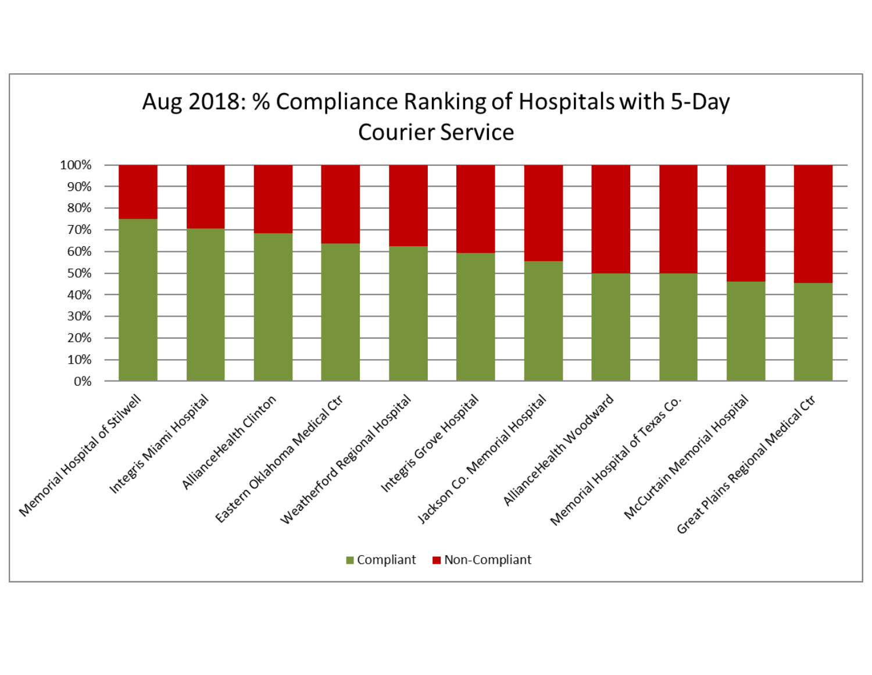

## Aug 2018: % Compliance Ranking of Hospitals with 5-Day